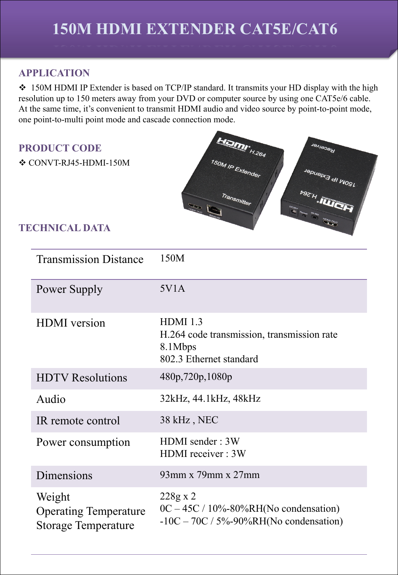# **150M HDMI EXTENDER CAT5E/CAT6**

## **APPLICATION**

• 150M HDMI IP Extender is based on TCP/IP standard. It transmits your HD display with the high resolution up to 150 meters away from your DVD or computer source by using one CAT5e/6 cable. At the same time, it's convenient to transmit HDMI audio and video source by point-to-point mode, one point-to-multi point mode and cascade connection mode.

### **PRODUCT CODE**



### **TECHNICAL DATA**

| <b>Transmission Distance</b>                                         | 150M                                                                                                             |  |
|----------------------------------------------------------------------|------------------------------------------------------------------------------------------------------------------|--|
| Power Supply                                                         | 5V1A                                                                                                             |  |
| <b>HDMI</b> version                                                  | <b>HDMI</b> 1.3<br>H.264 code transmission, transmission rate<br>8.1Mbps<br>802.3 Ethernet standard              |  |
| <b>HDTV</b> Resolutions                                              | 480p,720p,1080p                                                                                                  |  |
| Audio                                                                | 32kHz, 44.1kHz, 48kHz                                                                                            |  |
| IR remote control                                                    | 38 kHz, NEC                                                                                                      |  |
| Power consumption                                                    | HDMI sender: 3W<br>HDMI receiver: 3W                                                                             |  |
| Dimensions                                                           | $93$ mm x $79$ mm x $27$ mm                                                                                      |  |
| Weight<br><b>Operating Temperature</b><br><b>Storage Temperature</b> | $228g \times 2$<br>$0C - 45C / 10\% - 80\% RH(No$ condensation)<br>$-10C - 70C / 5\% - 90\% RH(No$ condensation) |  |